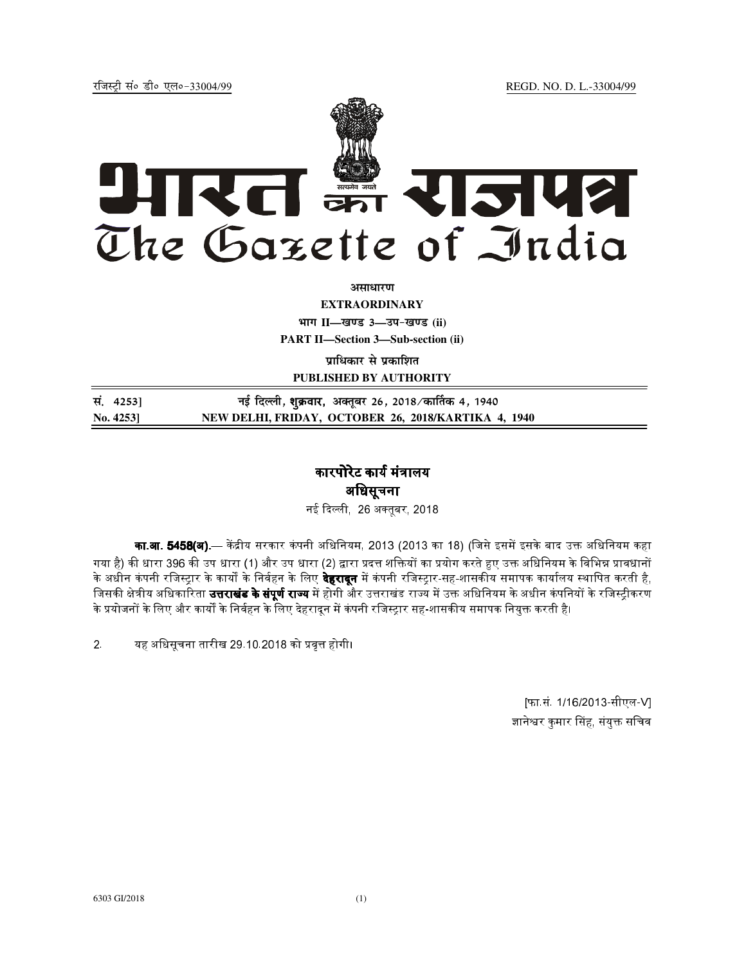jftLVªh laö Mhö ,yö&33004@99 REGD. NO. D. L.-33004/99



असाधार**ण** 

**EXTRAORDINARY**

**Hkkx II—[k.M 3—mi&[k.M (ii)**

**PART II—Section 3—Sub-section (ii)** 

**प्राधिकार से प्रकाशित PUBLISHED BY AUTHORITY**

| सं. 4253]    | नई दिल्ली, <b>शुक्रवार,</b> अक्तूबर 26, 2018 ∕कार्तिक 4, 1940 |
|--------------|---------------------------------------------------------------|
| No. $4253$ ] | NEW DELHI, FRIDAY, OCTOBER 26, 2018/KARTIKA 4, 1940           |

## कारपोरेट कार्य मंत्रालय अधिसूचना

- 26 
बर, 2018

**का.आ. 5458(अ).**— केंद्रीय सरकार कंपनी अधिनियम, 2013 (2013 का 18) (जिसे इसमें इसके बाद उक्त अधिनियम कहा गया है) की धारा 396 की उप धारा (1) और उप धारा (2) द्वारा प्रदत्त शक्तियों का प्रयोग करते हुए उक्त अधिनियम के विभिन्न प्रावधानों <mark>'</mark> के अधीन कंपनी रजिस्ट्रार के कार्यों के निर्वहन के लिए **देहरादून** में कंपनी रजिस्ट्रार-सह-शासकीय समापक कार्यालय स्थापित करती है, जिसकी क्षेत्रीय अधिकारिता **उत्तराखंड के संपूर्ण राज्य** में होगी और उत्तराखंड राज्य में उक्त अधिनियम के अधीन कंपनियों के रजिस्ट्रीकरण के प्रयोजनों के लिए और कार्यों के निर्वहन के लिए देहरादून में कंपनी रजिस्ट्रार सह-शासकीय समापक नियुक्त करती है।

2. यह अधिसूचना तारीख 29.10.2018 को प्रवृत्त होगी।

[फा.सं. 1/16/2013-सीएल-V] ज्ञानेश्वर कुमार सिंह, संयुक्त सचिव